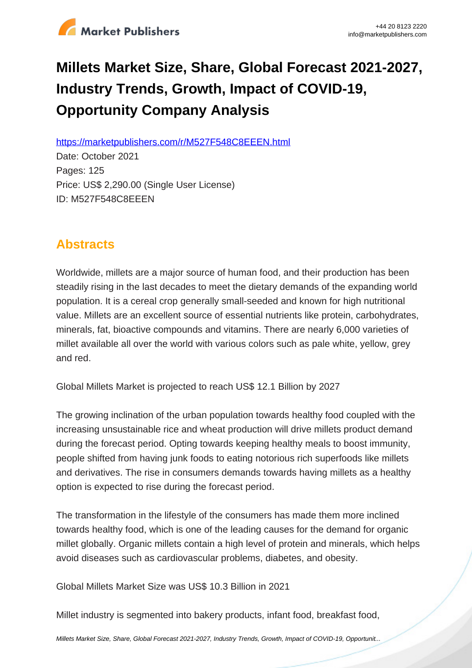

# **Millets Market Size, Share, Global Forecast 2021-2027, Industry Trends, Growth, Impact of COVID-19, Opportunity Company Analysis**

https://marketpublishers.com/r/M527F548C8EEEN.html

Date: October 2021 Pages: 125 Price: US\$ 2,290.00 (Single User License) ID: M527F548C8EEEN

# **Abstracts**

Worldwide, millets are a major source of human food, and their production has been steadily rising in the last decades to meet the dietary demands of the expanding world population. It is a cereal crop generally small-seeded and known for high nutritional value. Millets are an excellent source of essential nutrients like protein, carbohydrates, minerals, fat, bioactive compounds and vitamins. There are nearly 6,000 varieties of millet available all over the world with various colors such as pale white, yellow, grey and red.

Global Millets Market is projected to reach US\$ 12.1 Billion by 2027

The growing inclination of the urban population towards healthy food coupled with the increasing unsustainable rice and wheat production will drive millets product demand during the forecast period. Opting towards keeping healthy meals to boost immunity, people shifted from having junk foods to eating notorious rich superfoods like millets and derivatives. The rise in consumers demands towards having millets as a healthy option is expected to rise during the forecast period.

The transformation in the lifestyle of the consumers has made them more inclined towards healthy food, which is one of the leading causes for the demand for organic millet globally. Organic millets contain a high level of protein and minerals, which helps avoid diseases such as cardiovascular problems, diabetes, and obesity.

Global Millets Market Size was US\$ 10.3 Billion in 2021

Millet industry is segmented into bakery products, infant food, breakfast food,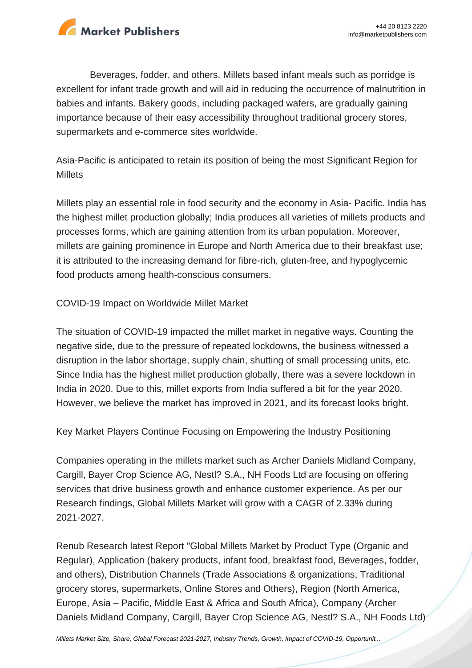

Beverages, fodder, and others. Millets based infant meals such as porridge is excellent for infant trade growth and will aid in reducing the occurrence of malnutrition in babies and infants. Bakery goods, including packaged wafers, are gradually gaining importance because of their easy accessibility throughout traditional grocery stores, supermarkets and e-commerce sites worldwide.

Asia-Pacific is anticipated to retain its position of being the most Significant Region for **Millets** 

Millets play an essential role in food security and the economy in Asia- Pacific. India has the highest millet production globally; India produces all varieties of millets products and processes forms, which are gaining attention from its urban population. Moreover, millets are gaining prominence in Europe and North America due to their breakfast use; it is attributed to the increasing demand for fibre-rich, gluten-free, and hypoglycemic food products among health-conscious consumers.

COVID-19 Impact on Worldwide Millet Market

The situation of COVID-19 impacted the millet market in negative ways. Counting the negative side, due to the pressure of repeated lockdowns, the business witnessed a disruption in the labor shortage, supply chain, shutting of small processing units, etc. Since India has the highest millet production globally, there was a severe lockdown in India in 2020. Due to this, millet exports from India suffered a bit for the year 2020. However, we believe the market has improved in 2021, and its forecast looks bright.

Key Market Players Continue Focusing on Empowering the Industry Positioning

Companies operating in the millets market such as Archer Daniels Midland Company, Cargill, Bayer Crop Science AG, Nestl? S.A., NH Foods Ltd are focusing on offering services that drive business growth and enhance customer experience. As per our Research findings, Global Millets Market will grow with a CAGR of 2.33% during 2021-2027.

Renub Research latest Report "Global Millets Market by Product Type (Organic and Regular), Application (bakery products, infant food, breakfast food, Beverages, fodder, and others), Distribution Channels (Trade Associations & organizations, Traditional grocery stores, supermarkets, Online Stores and Others), Region (North America, Europe, Asia – Pacific, Middle East & Africa and South Africa), Company (Archer Daniels Midland Company, Cargill, Bayer Crop Science AG, Nestl? S.A., NH Foods Ltd)

[Millets Market Size, Share, Global Forecast 2021-2027, Industry Trends, Growth, Impact of COVID-19, Opportunit...](https://marketpublishers.com/report/industry/other_industries/millets-market-size-share-global-forecast-2021-2027-industry-trends-growth-impact-of-covid-19-opportunity-company-analysis.html)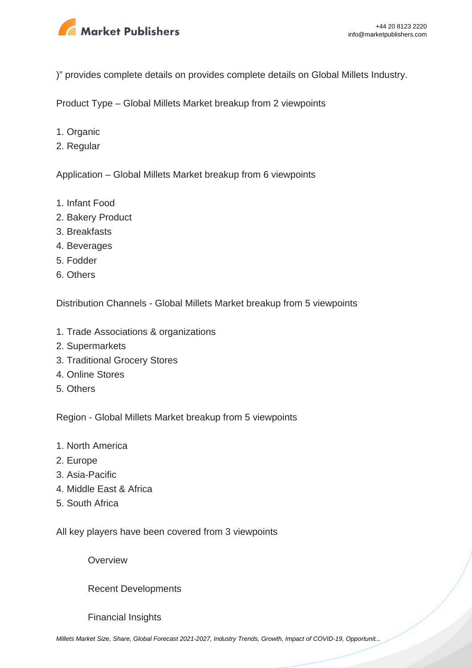

)" provides complete details on provides complete details on Global Millets Industry.

Product Type – Global Millets Market breakup from 2 viewpoints

- 1. Organic
- 2. Regular

Application – Global Millets Market breakup from 6 viewpoints

- 1. Infant Food
- 2. Bakery Product
- 3. Breakfasts
- 4. Beverages
- 5. Fodder
- 6. Others

Distribution Channels - Global Millets Market breakup from 5 viewpoints

- 1. Trade Associations & organizations
- 2. Supermarkets
- 3. Traditional Grocery Stores
- 4. Online Stores
- 5. Others

Region - Global Millets Market breakup from 5 viewpoints

- 1. North America
- 2. Europe
- 3. Asia-Pacific
- 4. Middle East & Africa
- 5. South Africa

All key players have been covered from 3 viewpoints

**Overview** 

Recent Developments

Financial Insights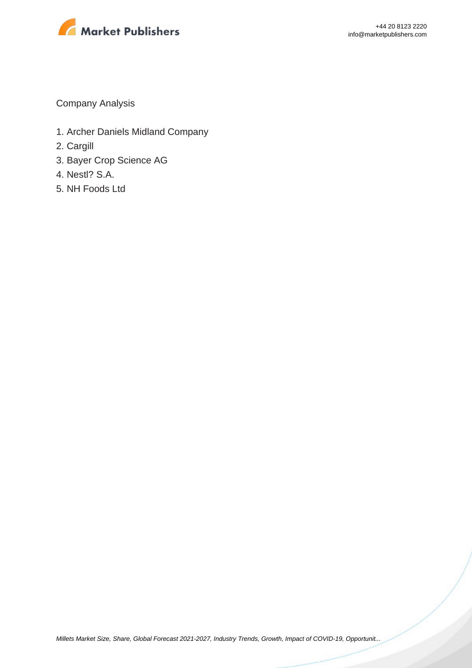

Company Analysis

- 1. Archer Daniels Midland Company
- 2. Cargill
- 3. Bayer Crop Science AG
- 4. Nestl? S.A.
- 5. NH Foods Ltd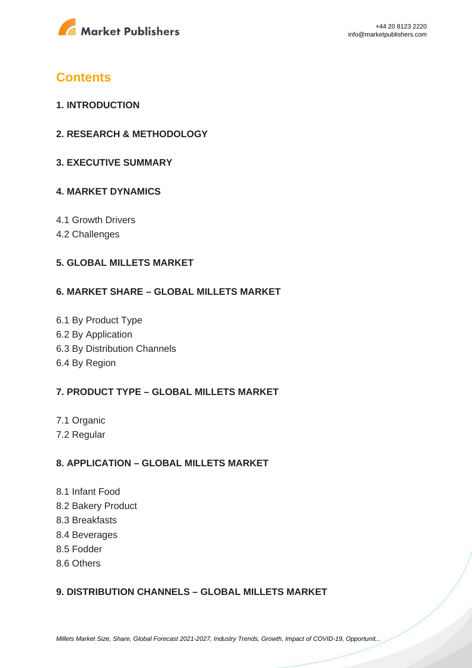

# **Contents**

- **1. INTRODUCTION**
- **2. RESEARCH & METHODOLOGY**
- **3. EXECUTIVE SUMMARY**

#### **4. MARKET DYNAMICS**

- 4.1 Growth Drivers
- 4.2 Challenges

#### **5. GLOBAL MILLETS MARKET**

#### **6. MARKET SHARE – GLOBAL MILLETS MARKET**

6.1 By Product Type 6.2 By Application 6.3 By Distribution Channels 6.4 By Region

#### **7. PRODUCT TYPE – GLOBAL MILLETS MARKET**

- 7.1 Organic
- 7.2 Regular

#### **8. APPLICATION – GLOBAL MILLETS MARKET**

- 8.1 Infant Food
- 8.2 Bakery Product
- 8.3 Breakfasts
- 8.4 Beverages
- 8.5 Fodder
- 8.6 Others

## **9. DISTRIBUTION CHANNELS – GLOBAL MILLETS MARKET**

[Millets Market Size, Share, Global Forecast 2021-2027, Industry Trends, Growth, Impact of COVID-19, Opportunit...](https://marketpublishers.com/report/industry/other_industries/millets-market-size-share-global-forecast-2021-2027-industry-trends-growth-impact-of-covid-19-opportunity-company-analysis.html)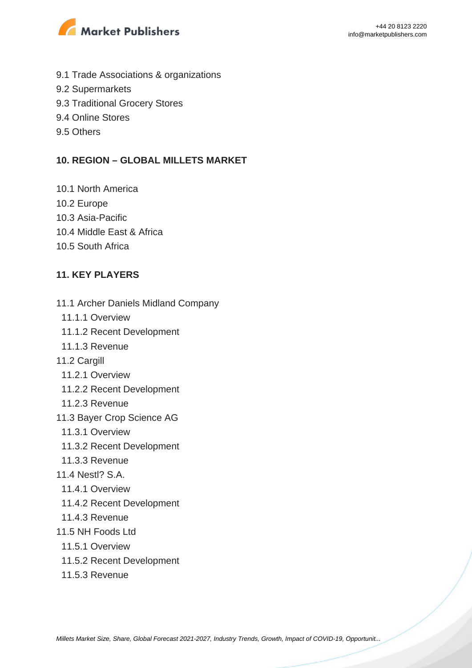

- 9.1 Trade Associations & organizations
- 9.2 Supermarkets
- 9.3 Traditional Grocery Stores
- 9.4 Online Stores
- 9.5 Others

#### **10. REGION – GLOBAL MILLETS MARKET**

- 10.1 North America
- 10.2 Europe
- 10.3 Asia-Pacific
- 10.4 Middle East & Africa
- 10.5 South Africa

### **11. KEY PLAYERS**

- 11.1 Archer Daniels Midland Company
- 11.1.1 Overview
- 11.1.2 Recent Development
- 11.1.3 Revenue
- 11.2 Cargill
	- 11.2.1 Overview
	- 11.2.2 Recent Development
- 11.2.3 Revenue
- 11.3 Bayer Crop Science AG
	- 11.3.1 Overview
	- 11.3.2 Recent Development
- 11.3.3 Revenue
- 11.4 Nestl? S.A.
	- 11.4.1 Overview
	- 11.4.2 Recent Development
- 11.4.3 Revenue
- 11.5 NH Foods Ltd
- 11.5.1 Overview
- 11.5.2 Recent Development
- 11.5.3 Revenue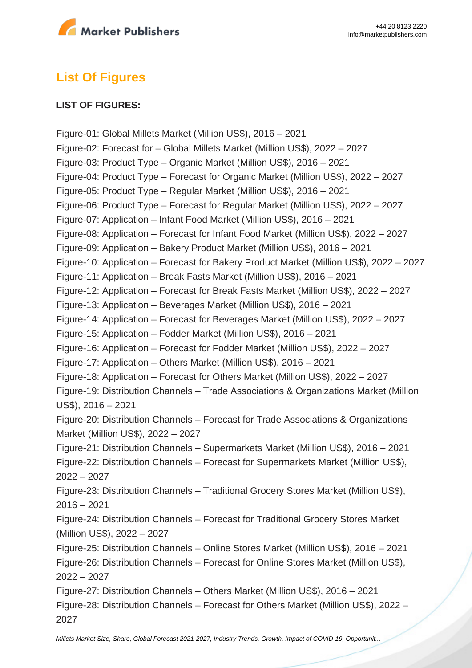

# **List Of Figures**

#### **LIST OF FIGURES:**

Figure-01: Global Millets Market (Million US\$), 2016 – 2021 Figure-02: Forecast for – Global Millets Market (Million US\$), 2022 – 2027 Figure-03: Product Type – Organic Market (Million US\$), 2016 – 2021 Figure-04: Product Type – Forecast for Organic Market (Million US\$), 2022 – 2027 Figure-05: Product Type – Regular Market (Million US\$), 2016 – 2021 Figure-06: Product Type – Forecast for Regular Market (Million US\$), 2022 – 2027 Figure-07: Application – Infant Food Market (Million US\$), 2016 – 2021 Figure-08: Application – Forecast for Infant Food Market (Million US\$), 2022 – 2027 Figure-09: Application – Bakery Product Market (Million US\$), 2016 – 2021 Figure-10: Application – Forecast for Bakery Product Market (Million US\$), 2022 – 2027 Figure-11: Application – Break Fasts Market (Million US\$), 2016 – 2021 Figure-12: Application – Forecast for Break Fasts Market (Million US\$), 2022 – 2027 Figure-13: Application – Beverages Market (Million US\$), 2016 – 2021 Figure-14: Application – Forecast for Beverages Market (Million US\$), 2022 – 2027 Figure-15: Application – Fodder Market (Million US\$), 2016 – 2021 Figure-16: Application – Forecast for Fodder Market (Million US\$), 2022 – 2027 Figure-17: Application – Others Market (Million US\$), 2016 – 2021 Figure-18: Application – Forecast for Others Market (Million US\$), 2022 – 2027 Figure-19: Distribution Channels – Trade Associations & Organizations Market (Million US\$), 2016 – 2021 Figure-20: Distribution Channels – Forecast for Trade Associations & Organizations Market (Million US\$), 2022 – 2027 Figure-21: Distribution Channels – Supermarkets Market (Million US\$), 2016 – 2021 Figure-22: Distribution Channels – Forecast for Supermarkets Market (Million US\$), 2022 – 2027 Figure-23: Distribution Channels – Traditional Grocery Stores Market (Million US\$), 2016 – 2021 Figure-24: Distribution Channels – Forecast for Traditional Grocery Stores Market (Million US\$), 2022 – 2027 Figure-25: Distribution Channels – Online Stores Market (Million US\$), 2016 – 2021 Figure-26: Distribution Channels – Forecast for Online Stores Market (Million US\$), 2022 – 2027 Figure-27: Distribution Channels – Others Market (Million US\$), 2016 – 2021 Figure-28: Distribution Channels – Forecast for Others Market (Million US\$), 2022 – 2027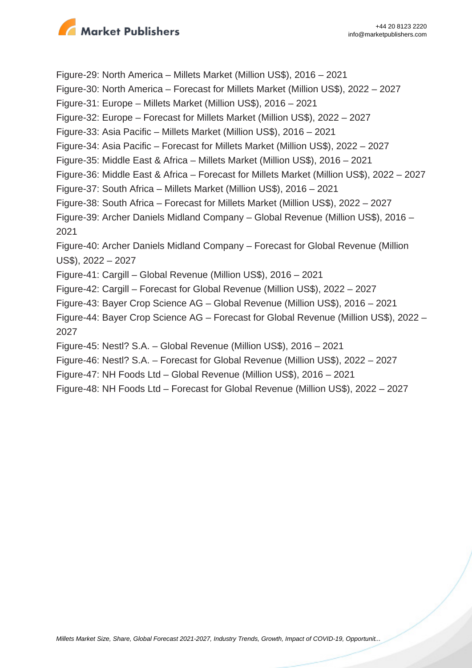

Figure-29: North America – Millets Market (Million US\$), 2016 – 2021 Figure-30: North America – Forecast for Millets Market (Million US\$), 2022 – 2027 Figure-31: Europe – Millets Market (Million US\$), 2016 – 2021 Figure-32: Europe – Forecast for Millets Market (Million US\$), 2022 – 2027 Figure-33: Asia Pacific – Millets Market (Million US\$), 2016 – 2021 Figure-34: Asia Pacific – Forecast for Millets Market (Million US\$), 2022 – 2027 Figure-35: Middle East & Africa – Millets Market (Million US\$), 2016 – 2021 Figure-36: Middle East & Africa – Forecast for Millets Market (Million US\$), 2022 – 2027 Figure-37: South Africa – Millets Market (Million US\$), 2016 – 2021 Figure-38: South Africa – Forecast for Millets Market (Million US\$), 2022 – 2027 Figure-39: Archer Daniels Midland Company – Global Revenue (Million US\$), 2016 – 2021 Figure-40: Archer Daniels Midland Company – Forecast for Global Revenue (Million US\$), 2022 – 2027 Figure-41: Cargill – Global Revenue (Million US\$), 2016 – 2021 Figure-42: Cargill – Forecast for Global Revenue (Million US\$), 2022 – 2027 Figure-43: Bayer Crop Science AG – Global Revenue (Million US\$), 2016 – 2021 Figure-44: Bayer Crop Science AG – Forecast for Global Revenue (Million US\$), 2022 – 2027 Figure-45: Nestl? S.A. – Global Revenue (Million US\$), 2016 – 2021 Figure-46: Nestl? S.A. – Forecast for Global Revenue (Million US\$), 2022 – 2027

- Figure-47: NH Foods Ltd Global Revenue (Million US\$), 2016 2021
- Figure-48: NH Foods Ltd Forecast for Global Revenue (Million US\$), 2022 2027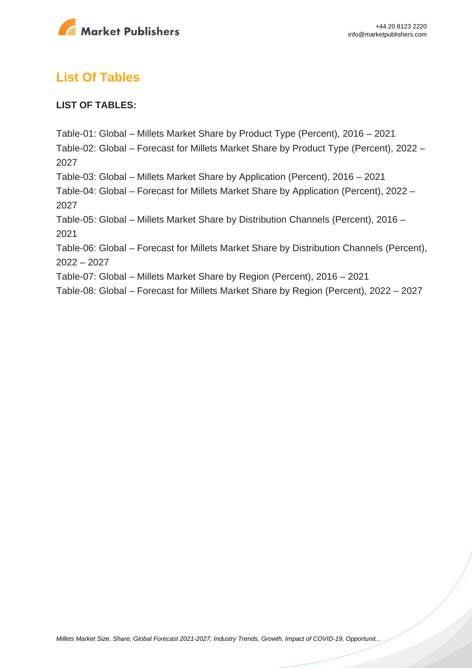

# **List Of Tables**

### **LIST OF TABLES:**

Table-01: Global – Millets Market Share by Product Type (Percent), 2016 – 2021 Table-02: Global – Forecast for Millets Market Share by Product Type (Percent), 2022 – 2027 Table-03: Global – Millets Market Share by Application (Percent), 2016 – 2021 Table-04: Global – Forecast for Millets Market Share by Application (Percent), 2022 – 2027 Table-05: Global – Millets Market Share by Distribution Channels (Percent), 2016 – 2021 Table-06: Global – Forecast for Millets Market Share by Distribution Channels (Percent), 2022 – 2027 Table-07: Global – Millets Market Share by Region (Percent), 2016 – 2021

Table-08: Global – Forecast for Millets Market Share by Region (Percent), 2022 – 2027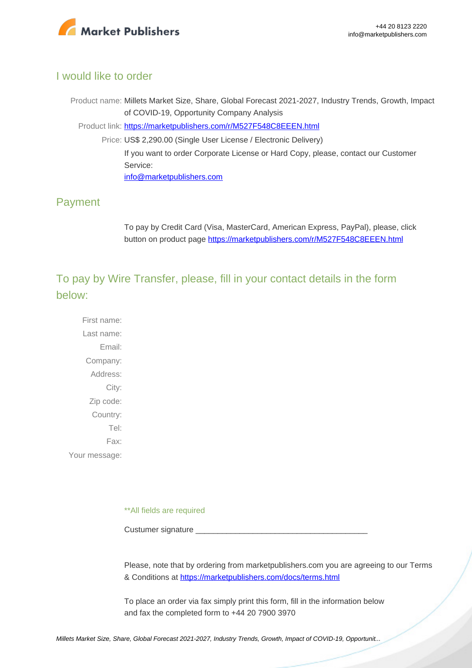

### I would like to order

Product name: Millets Market Size, Share, Global Forecast 2021-2027, Industry Trends, Growth, Impact of COVID-19, Opportunity Company Analysis Product link: [https://marketpublishers.com/r/M527F548C8EEEN.html](https://marketpublishers.com/report/industry/other_industries/millets-market-size-share-global-forecast-2021-2027-industry-trends-growth-impact-of-covid-19-opportunity-company-analysis.html) Price: US\$ 2,290.00 (Single User License / Electronic Delivery) If you want to order Corporate License or Hard Copy, please, contact our Customer Service:

[info@marketpublishers.com](mailto:info@marketpublishers.com)

## Payment

To pay by Credit Card (Visa, MasterCard, American Express, PayPal), please, click button on product page [https://marketpublishers.com/r/M527F548C8EEEN.html](https://marketpublishers.com/report/industry/other_industries/millets-market-size-share-global-forecast-2021-2027-industry-trends-growth-impact-of-covid-19-opportunity-company-analysis.html)

To pay by Wire Transfer, please, fill in your contact details in the form below:

First name: Last name: Email: Company: Address: City: Zip code: Country: Tel: Fax: Your message:

\*\*All fields are required

Custumer signature

Please, note that by ordering from marketpublishers.com you are agreeing to our Terms & Conditions at<https://marketpublishers.com/docs/terms.html>

To place an order via fax simply print this form, fill in the information below and fax the completed form to +44 20 7900 3970